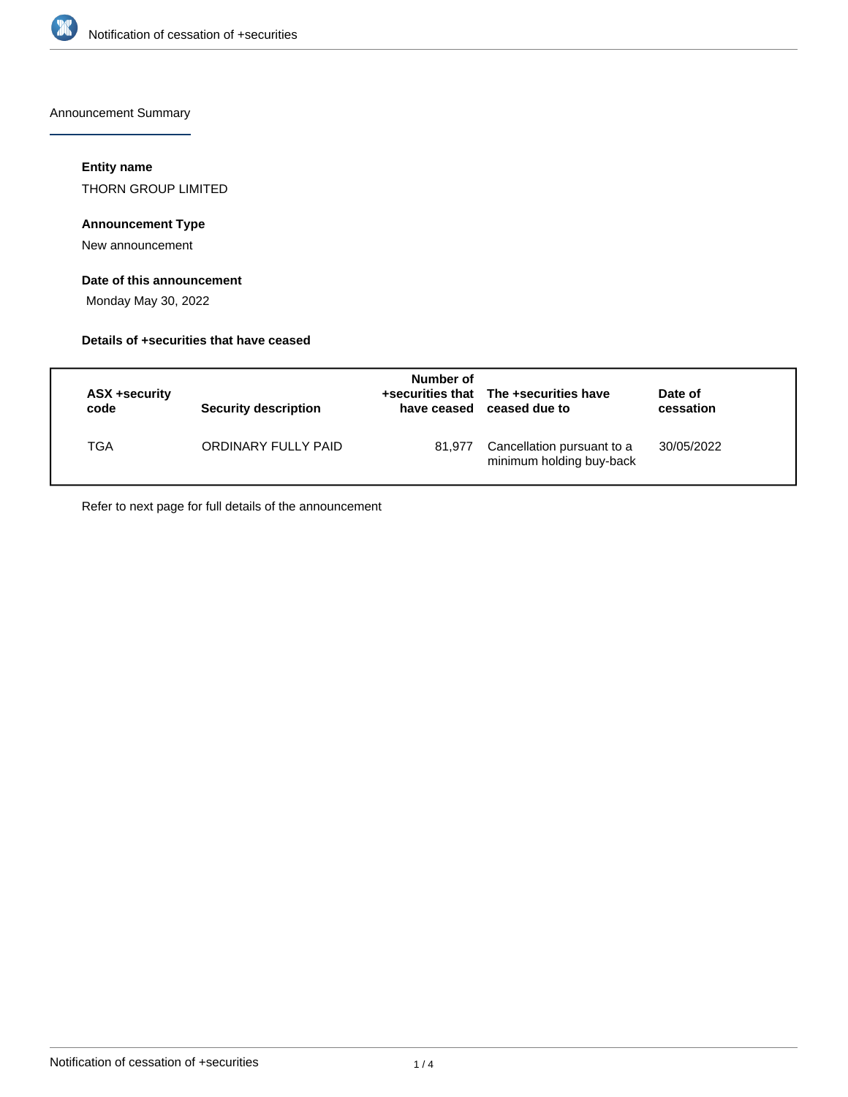

Announcement Summary

#### **Entity name**

THORN GROUP LIMITED

### **Announcement Type**

New announcement

#### **Date of this announcement**

Monday May 30, 2022

#### **Details of +securities that have ceased**

| ASX +security<br>code | <b>Security description</b> | Number of<br>have ceased | +securities that The +securities have<br>ceased due to | Date of<br>cessation |
|-----------------------|-----------------------------|--------------------------|--------------------------------------------------------|----------------------|
| TGA                   | ORDINARY FULLY PAID         | 81.977                   | Cancellation pursuant to a<br>minimum holding buy-back | 30/05/2022           |

Refer to next page for full details of the announcement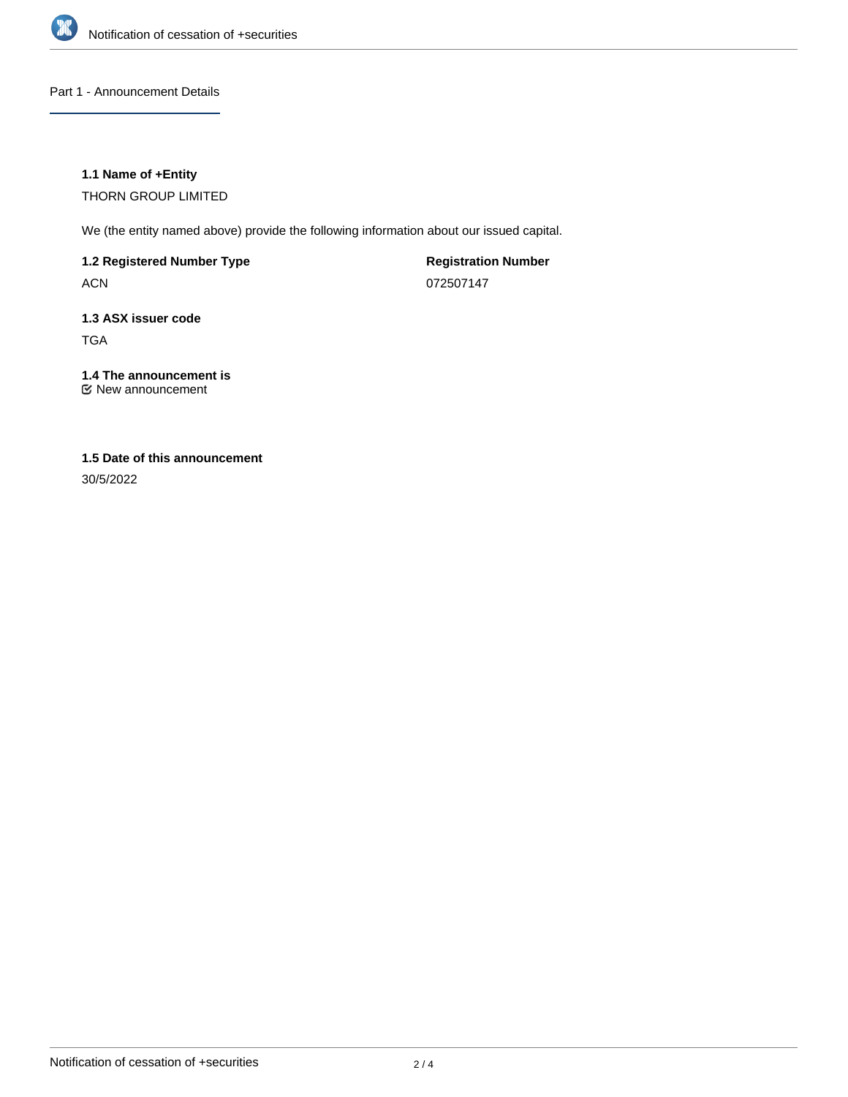

Part 1 - Announcement Details

#### **1.1 Name of +Entity**

THORN GROUP LIMITED

We (the entity named above) provide the following information about our issued capital.

**1.2 Registered Number Type**

ACN

**Registration Number** 072507147

## **1.3 ASX issuer code** TGA

# **1.4 The announcement is**

New announcement

# **1.5 Date of this announcement**

30/5/2022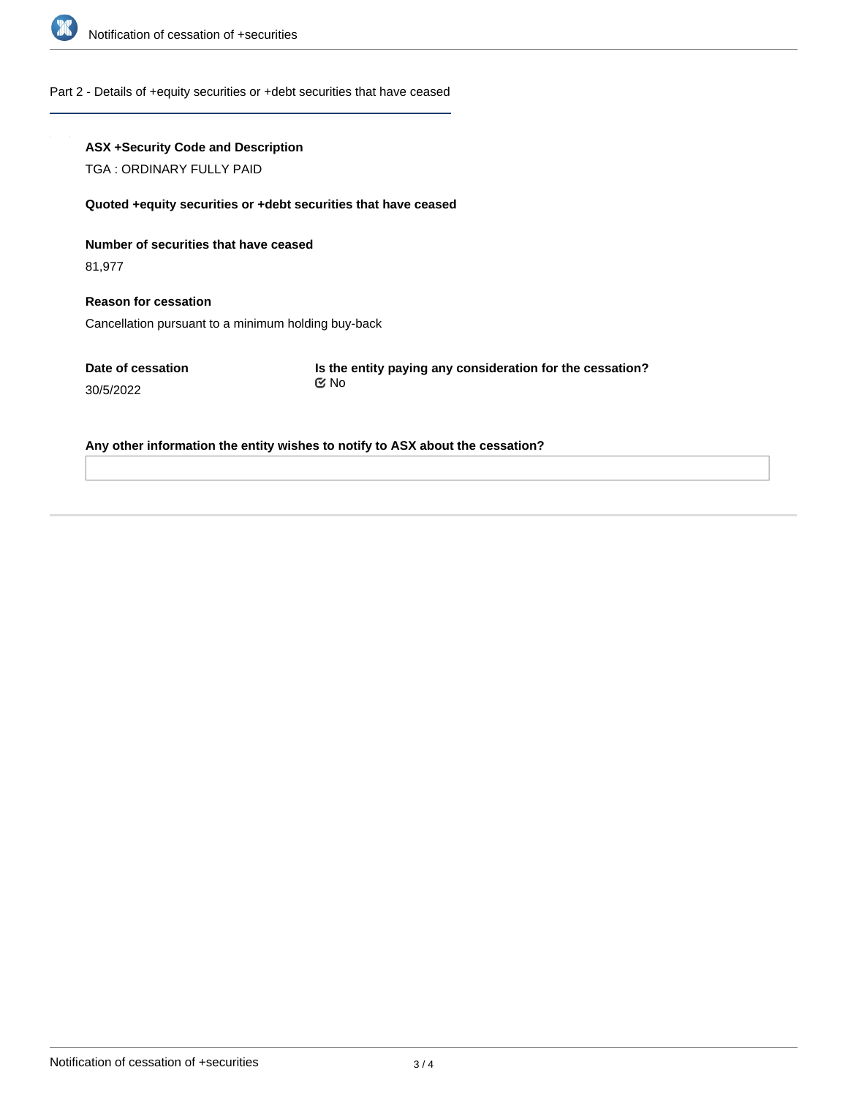

#### Part 2 - Details of +equity securities or +debt securities that have ceased

#### **ASX +Security Code and Description**

TGA : ORDINARY FULLY PAID

#### **Quoted +equity securities or +debt securities that have ceased**

#### **Number of securities that have ceased**

81,977

# **Reason for cessation**

Cancellation pursuant to a minimum holding buy-back

**Date of cessation** 30/5/2022

**Is the entity paying any consideration for the cessation?** No

#### **Any other information the entity wishes to notify to ASX about the cessation?**